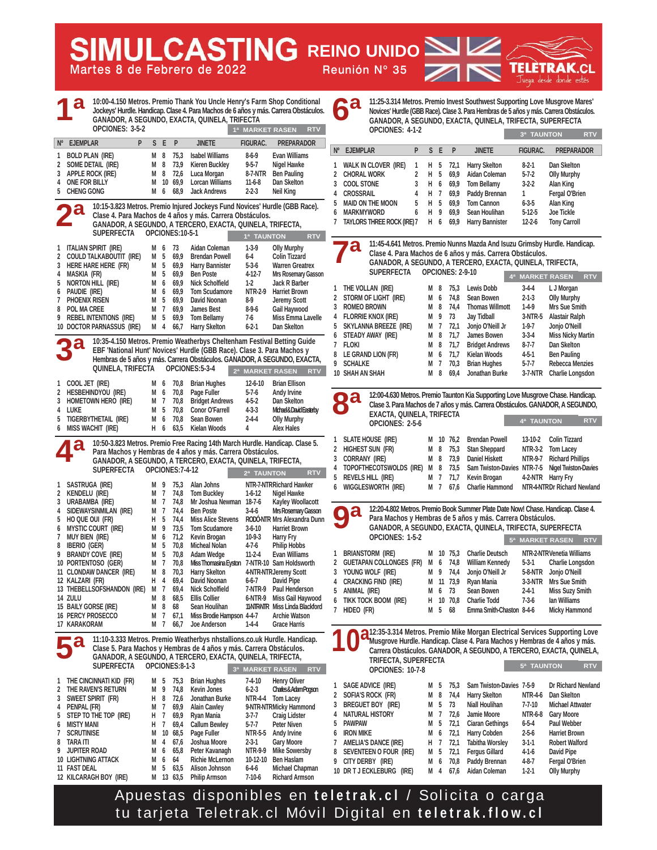**Martes 8 de Febrero de 2022 Reunión Nº 35**

**MULCASTING REINO UNIDO** 

**10:00-4.150 Metros. Premio Thank You Uncle Henry's Farm Shop Conditional Jockeys' Hurdle. Handicap. Clase 4. Para Machos de 6 años y más. Carrera Obstáculos. GANADOR, A SEGUNDO, EXACTA, QUINELA, TRIFECTA OPCIONES: 3-5-2 1 BOLD PLAN (IRE) M 8 75,3 Isabel Williams 8-6-9 Evan Williams**  2 SOME DETAIL (IRE) M 8 73,9 Kieren Buckley 9-5-7<br>3 APPLE ROCK (IRE) M 8 72,6 Luca Morgan 8-7-NTR **3 APPLE ROCK (IRE)** M 8 72,6 Luca Morgan 8-7-NTR Ben Pauling<br>4 ONE FOR BILLY M 10 69.9 Lorcan Williams 11-6-8 Dan Skelton **4 ONE FOR BILLY M 10 69,9 Lorcan Williams 11-6-8 Dan Skelton 5 CHENG GONG M 6 68,9 Jack Andrews 2-2-3 Neil King 10:15-3.823 Metros. Premio Injured Jockeys Fund Novices' Hurdle (GBB Race). Clase 4. Para Machos de 4 años y más. Carrera Obstáculos. GANADOR, A SEGUNDO, A TERCERO, EXACTA, QUINELA, TRIFECTA, SUPERFECTA OPCIONES:10-5-1 1 ITALIAN SPIRIT (IRE) M 6 73 Aidan Coleman 1-3-9 Olly Murphy 2 COULD TALKABOUTIT (IRE) M 5 69,9 Brendan Powell 6-4 Colin Tizzard 3 HERE HARE HERE (FR) M 5 69,9 Harry Bannister 5-3-6 Warren Greatrex 4 MASKIA (FR) M 5 69,9 Ben Poste 4-12-7 Mrs Rosemary Gasson 5 NORTON HILL (IRE) M 6 69,9 Nick Scholfield 1-2 Jack R Barber 6 PAUDIE (IRE) M 6 69,9 Tom Scudamore NTR-2-9 Harriet Brown 7 PHOENIX RISEN M 5 69,9 David Noonan 8-9 Jeremy Scott 8 POL MA CREE M 7 69,9 James Best 8-9-6 Gail Haywood PREBEL INTENTIONS (IRE) M 5<br>DOCTOR PARNASSIJS (IRE) M 4 10 DOCTOR PARNASSUS (IRE) M 4 66,7 Harry Skelton 6-2-1 Dan Skelton 10:35-4.150 Metros. Premio Weatherbys Cheltenham Festival Betting Guide EBF 'National Hunt' Novices' Hurdle (GBB Race). Clase 3. Para Machos y Hembras de 5 años y más. Carrera Obstáculos. GANADOR, A SEGUNDO, EXACTA, QUINELA, TRIFECTA OPCIONES:5-3-4 1 COOL JET (IRE) M 6 70,8 Brian Hughes 12-6-10 Brian Ellison 2 HESBEHINDYOU (IRE) M 6 70,8 Page Fuller 5-7-6 Andy Irvine 3 HOMETOWN HERO (IRE) M 7 70,8 Bridget Andrews 4-5-2 Dan Skelton 4 LUKE M 5 70,8 Conor O'Farrell 4-3-3 Michael & David Easterby 5 TIGERBYTHETAIL (IRE) M 6 70,8 Sean Bowen 2-4-4 Olly Murphy 6 MISS WACHIT (IRE) H 6 63,5 Kielan Woods 4 Alex Hales 10:50-3.823 Metros. Premio Free Racing 14th March Hurdle. Handicap. Clase 5. Para Machos y Hembras de 4 años y más. Carrera Obstáculos. GANADOR, A SEGUNDO, A TERCERO, EXACTA, QUINELA, TRIFECTA, SUPERFECTA OPCIONES:7-4-12 1 SASTRUGA (IRE) M 9 75,3 Alan Johns NTR-7-NTRRichard Hawker COMPUT M 9 75,3 Alan Johns NTR-7-NTRRichard Hawker**<br>2 KENDELU (IRE) M 7 74.8 Tom Buckley 1-6-12 Nigel Hawke **2 KENDELU (IRE) M 7 74,8 Tom Buckley 1-6-12 Nigel Hawke**  3 URABAMBA (IRE) M 7 74,8 Mr Joshua Newman 18-7-6 Kayley Woollacott **4 SIDEWAYSINMILAN (IRE) M 7 74,4 Ben Poste 3-4-6 Mrs Rosemary Gasson 5 HO QUE OUI (FR) H 5 74,4 Miss Alice Stevens RODÓ-NTR Mrs Alexandra Dunn 6 MYSTIC COURT (IRE) M 9 73,5 Tom Scudamore 3-6-10 Harriet Brown**  7 MUY BIEN (IRE) **M 6 71,2 Kevin Brogan** 10-9-3 Harry Fry **8 IBERIO (GER) M 5 70,8 Micheal Nolan 4-7-6 Philip Hobbs**  9 BRANDY COVE (IRE) M 5 70,8 Adam Wedge 11-2-4 Evan Williams 10 PORTENTOSO (GER) M 7 70,8 Miss Thomasina Eyston 7-NTR-10 Sam Holdsworth **11 CLONDAW DANCER** (IRE) M 8 70,3 Harry Skelton 4-NTR-NTRJeremy Scott **11 CLONDAW DANCER (IRE) M 8 70,3 Harry Skelton 4-NTR-NTRJeremy Scott 12 KALZARI (FR) H 4 69,4 David Noonan 6-6-7 David Pipe**  13 THEBELLSOFSHANDON (IRE) M 7 69,4 Nick Scholfield 7-NTR-9<br>14 ZULU – M 8 68.5 Ellis Collier – 6-NTR-9 **14 M 8 68,5 Ellis Collier 6-NTR-9 Miss Gail Haywood**<br>**11 M 8 68 Sean Houlihan 11-NTR-NTR Miss Linda Blackford** 15 BAILY GORSE (IRE) M 8 68 Sean Houlihan 11-NTR-NTR Miss Linda Black<br>16 PERCY PROSECCO M 7 67,1 Miss Brodie Hampson 4-4-7 Archie Watson **167,1 Miss Brodie Hampson 4-4-7**<br>**14-4** M 7 66.7 Joe Anderson **1-4-4 17 KARAKORAM M 7 66,7 Joe Anderson 1-4-4 Grace Harris 11:10-3.333 Metros. Premio Weatherbys nhstallions.co.uk Hurdle. Handicap. Clase 5. Para Machos y Hembras de 4 años y más. Carrera Obstáculos. GANADOR, A SEGUNDO, A TERCERO, EXACTA, QUINELA, TRIFECTA, SUPERFECTA OPCIONES:8-1-3 1 THE CINCINNATI KID (FR) M 5 75,3 Brian Hughes 7-4-10 Henry Oliver**  2 THE RAVEN'S RETURN M 9 74.8 Kevin Jones 6-2-3 Charles & Adam Program **3 SWEET SPIRIT (FR) H 8 72,6 Jonathan Burke NTR-4-4 Tom Lacey 4 PENPAL (FR) M 7 69,9 Alain Cawley 9-NTR-NTRMicky Hammond 5 STEP TO THE TOP (IRE) H 7 69,9 Ryan Mania 3-7-7 Craig Lidster 6 MISTY MANI H 7 69,4 Callum Bewley 5-7-7 Peter Niven 7 SCRUTINISE M 10 68,5 Page Fuller NTR-5-5 Andy Irvine**  8 TARA ITI **M 4 67.6 Joshua Moore** 2-3-1 Gary Moore **9 JUPITER ROAD M 6 65,8 Peter Kavanagh NTR-9-9 Mike Sowersby 10 LIGHTNING ATTACK M 6 64**<br>**11 FAST DEAL M 5 63,5 11 FAST DEAL M 5 63,5 Alison Johnson 6-4-6 Michael Chapman OPCIONES: 4-1-2 SUPERFECTA OPCIONES: 2-9-10 EXACTA, QUINELA, TRIFECTA OPCIONES: 2-5-6 OPCIONES: 1-5-2 TRIFECTA, SUPERFECTA OPCIONES: 10-7-8 Nº EJEMPLAR P S E P JINETE FIGURAC. PREPARADOR 1ª 1ª MARKET RASEN RTV 1ª TAUNTON RTV 2ª MARKET RASEN RTV 2ª 6ª 7ª 8ª 9ª 3ª 2ª TAUNTON RTV 3ª MARKET RASEN RTV 4ª 5ª 11:10-3.333 Metros. Premio Weatherbys nhstallions.co.uk Hurdle. Handicap.<br>Clase 5. Para Machos y Hembras de 4 años y más. Carrera Obstáculos.<br>GANADOR, A SEGUNDO, A TERCERO, EXACTA, QUINELA, TRIFECTA,** 

**11:25-3.314 Metros. Premio Invest Southwest Supporting Love Musgrove Mares' Novices' Hurdle (GBB Race). Clase 3. Para Hembras de 5 años y más. Carrera Obstáculos. GANADOR, A SEGUNDO, EXACTA, QUINELA, TRIFECTA, SUPERFECTA 3ª TAUNTON RTV**

| $N^{\circ}$   | <b>EJEMPLAR</b>                                                        | P | S. | F | P                       | <b>JINETE</b>          | <b>FIGURAC.</b> | <b>PREPARADOR</b>                                                          |
|---------------|------------------------------------------------------------------------|---|----|---|-------------------------|------------------------|-----------------|----------------------------------------------------------------------------|
| 1             | <b>WALK IN CLOVER (IRE)</b>                                            | 1 | н  | 5 | 72,1                    | Harry Skelton          | $8-2-1$         | Dan Skelton                                                                |
| 2             | <b>CHORAL WORK</b>                                                     | 2 | н  | 5 | 69.9                    | Aidan Coleman          | $5 - 7 - 2$     | <b>Olly Murphy</b>                                                         |
| 3             | <b>COOL STONE</b>                                                      | 3 | н  | 6 | 69,9                    | <b>Tom Bellamy</b>     | $3-2-2$         | Alan King                                                                  |
| 4             | <b>CROSSRAIL</b>                                                       | 4 | н  | 7 | 69.9                    | Paddy Brennan          | 1               | Fergal O'Brien                                                             |
| 5             | <b>MAID ON THE MOON</b>                                                | 5 | H. | 5 | 69.9                    | <b>Tom Cannon</b>      | Alan King       |                                                                            |
| 6             | <b>MARKMYWORD</b>                                                      | 6 | н  | 9 | 69.9                    | Sean Houlihan          | $5-12-5$        | <b>Joe Tickle</b>                                                          |
| 7             | <b>TAYLORS THREE ROCK (IRE) 7</b>                                      |   | н  | 6 | 69.9                    | <b>Harry Bannister</b> | $12 - 2 - 6$    | <b>Tony Carroll</b>                                                        |
|               |                                                                        |   |    |   |                         |                        |                 |                                                                            |
|               |                                                                        |   |    |   |                         |                        |                 | 11:45-4.641 Metros. Premio Nunns Mazda And Isuzu Grimsby Hurdle. Handicap. |
|               | $\bullet$<br>Clase 4. Para Machos de 6 años y más. Carrera Obstáculos. |   |    |   |                         |                        |                 |                                                                            |
|               | GANADOR, A SEGUNDO, A TERCERO, EXACTA, QUINELA, TRIFECTA,              |   |    |   |                         |                        |                 |                                                                            |
|               | <b>SUPERFECTA</b>                                                      |   |    |   | <b>OPCIONES: 2-9-10</b> |                        |                 |                                                                            |
|               |                                                                        |   |    |   |                         |                        | 4ª MARKET RASEN | <b>RTV</b>                                                                 |
| 1             | THE VOLLAN (IRE)                                                       |   | м  | 8 | 75.3                    | Lewis Dobb             | L J Morgan      |                                                                            |
| $\mathfrak z$ | STORM OF LIGHT (IRE)                                                   |   | М  | 6 | 74.8                    | Sean Bowen             | $2 - 1 - 3$     | <b>Olly Murphy</b>                                                         |

| 2 SIUKINUFLIGHI (IKE)   | IVI O |        |          | 74,8 Sean Bowen          | 2-1-3       | <b>UIIV MUIDIV</b>       |
|-------------------------|-------|--------|----------|--------------------------|-------------|--------------------------|
| 3 ROMEO BROWN           | M 8   |        | 74.4     | <b>Thomas Willmott</b>   | $1-4-9$     | Mrs Sue Smith            |
| 4 FLORRIE KNOX (IRE)    |       | M 9 73 |          | Jay Tidball              |             | 3-NTR-5 Alastair Ralph   |
| 5 SKYLANNA BREEZE (IRE) |       |        | M 7 72.1 | Jonjo O'Neill Jr         | $1-9-7$     | Jonjo O'Neill            |
| 6 STEADY AWAY (IRE)     |       |        | M 8 71.7 | James Bowen              | $3 - 3 - 4$ | <b>Miss Nicky Martin</b> |
| 7 FLOKI                 |       |        |          | M 8 71,7 Bridget Andrews | $8 - 7 - 7$ | Dan Skelton              |
| 8 LE GRAND LION (FR)    |       |        | M 6 71.7 | Kielan Woods             | 4-5-1       | <b>Ben Pauling</b>       |
| 9 SCHALKE               |       |        | M 7 70.3 | <b>Brian Hughes</b>      | $5 - 7 - 7$ | <b>Rebecca Menzies</b>   |
| 10 SHAH AN SHAH         | M 8   |        |          | 69,4 Jonathan Burke      | $3-7-NTR$   | Charlie Longsdon         |
|                         |       |        |          |                          |             |                          |



| . .<br>EXACTA, QUINELA, IRIFECTA                                                   |  |  |                                                      |            |                       |  |  |  |
|------------------------------------------------------------------------------------|--|--|------------------------------------------------------|------------|-----------------------|--|--|--|
| OPCIONES: 2-5-6                                                                    |  |  |                                                      | 4ª TAUNTON |                       |  |  |  |
|                                                                                    |  |  |                                                      |            |                       |  |  |  |
| 1 SLATE HOUSE (IRE)                                                                |  |  | M 10 76,2 Brendan Powell                             |            | 13-10-2 Colin Tizzard |  |  |  |
| 2 Highest Sun (FR)                                                                 |  |  | M 8 75,3 Stan Sheppard NTR-3-2 Tom Lacey             |            |                       |  |  |  |
| 3 CORRANY (IRE)                                                                    |  |  | M 8 73,9 Daniel Hiskett NTR-9-7 Richard Phillips     |            |                       |  |  |  |
| 4 TOPOFTHECOTSWOLDS (IRE) M 8 73,5 Sam Twiston-Davies NTR-7-5 Nigel Twiston-Davies |  |  |                                                      |            |                       |  |  |  |
| 5 REVELS HILL (IRE)                                                                |  |  | M 7 71,7 Kevin Brogan 4-2-NTR Harry Fry              |            |                       |  |  |  |
| 6 WIGGLESWORTH (IRE)                                                               |  |  | M 7 67,6 Charlie Hammond NTR-4-NTRDr Richard Newland |            |                       |  |  |  |
|                                                                                    |  |  |                                                      |            |                       |  |  |  |

**12:20-4.802 Metros. Premio Book Summer Plate Date Now! Chase. Handicap. Clase 4. Para Machos y Hembras de 5 años y más. Carrera Obstáculos. GANADOR, A SEGUNDO, EXACTA, QUINELA, TRIFECTA, SUPERFECTA**

| OPCIONES: 1-5-2           |     |        |           |                           |             | 5ª MARKET RASEN<br><b>RTV</b> |  |
|---------------------------|-----|--------|-----------|---------------------------|-------------|-------------------------------|--|
| 1 BRIANSTORM (IRE)        |     |        |           | M 10 75,3 Charlie Deutsch |             | NTR-2-NTRVenetia Williams     |  |
| 2 GUETAPAN COLLONGES (FR) |     |        |           | M 6 74,8 William Kennedy  |             | 5-3-1 Charlie Longsdon        |  |
| 3 YOUNG WOLF (IRE)        |     |        | M 9 74.4  | Jonjo O'Neill Jr          |             | 5-8-NTR Jonjo O'Neill         |  |
| 4 CRACKING FIND (IRE)     |     |        | M 11 73.9 | Rvan Mania                |             | 3-3-NTR Mrs Sue Smith         |  |
| 5 ANIMAL (IRE)            |     | M 6 73 |           | Sean Bowen                | $2 - 4 - 1$ | <b>Miss Suzy Smith</b>        |  |
| 6 TIKK TOCK BOOM (IRE)    |     |        | H 10 70,8 | <b>Charlie Todd</b>       | $7-3-6$     | lan Williams                  |  |
| 7 HIDEO (FR)              | M 5 |        | 68        | Emma Smith-Chaston 8-4-6  |             | <b>Micky Hammond</b>          |  |
|                           |     |        |           |                           |             |                               |  |

**12:35-3.314 Metros. Premio Mike Morgan Electrical Services Supporting Love Musgrove Hurdle. Handicap. Clase 4. Para Machos y Hembras de 4 años y más. Carrera Obstáculos. GANADOR, A SEGUNDO, A TERCERO, EXACTA, QUINELA, 5ª TAUNTON RTV**

| $\mathbf{1}$    | SAGE ADVICE (IRE)            | м   | 5              | 75.3 | Sam Twiston-Davies 7-5-9 |              | Dr Richard Newland      |
|-----------------|------------------------------|-----|----------------|------|--------------------------|--------------|-------------------------|
|                 | 2 SOFIA'S ROCK (FR)          | м   | 8              | 74,4 | <b>Harry Skelton</b>     | NTR-4-6      | Dan Skelton             |
| $\mathbf{3}$    | <b>BREGUET BOY</b><br>(IRE)  | м   | 5              | 73   | Niall Houlihan           | $7 - 7 - 10$ | <b>Michael Attwater</b> |
|                 | 4 NATURAL HISTORY            | м   | 7              | 72.6 | Jamie Moore              | NTR-6-8      | <b>Gary Moore</b>       |
| 5.              | <b>PAWPAW</b>                | M 5 |                | 72,1 | <b>Ciaran Gethings</b>   | $6 - 5 - 4$  | Paul Webber             |
| 6               | <b>IRON MIKE</b>             | м   | 6              | 72,1 | <b>Harry Cobden</b>      | $2 - 5 - 6$  | <b>Harriet Brown</b>    |
| $7\phantom{.0}$ | <b>AMELIA'S DANCE (IRE)</b>  | н.  | $\overline{7}$ | 72.1 | <b>Tabitha Worsley</b>   | $3 - 1 - 1$  | <b>Robert Walford</b>   |
|                 | 8 SEVENTEEN O FOUR (IRE)     | M 5 |                | 72,1 | <b>Fergus Gillard</b>    | $4-1-6$      | David Pipe              |
|                 | 9 CITY DERBY<br>(IRE)        | м   | 6              | 70,8 | Paddy Brennan            | $4 - 8 - 7$  | Fergal O'Brien          |
|                 | 10 DR T J ECKLEBURG<br>(IRE) | м   | 4              | 67.6 | Aidan Coleman            | $1-2-1$      | <b>Olly Murphy</b>      |
|                 |                              |     |                |      |                          |              |                         |

Apuestas disponibles en **teletrak.cl** / Solicita o carga tu tarjeta Teletrak.cl Móvil Digital en **teletrak.flow.cl**

12 KILCARAGH BOY (IRE) M 13 63.5 Philip Armson